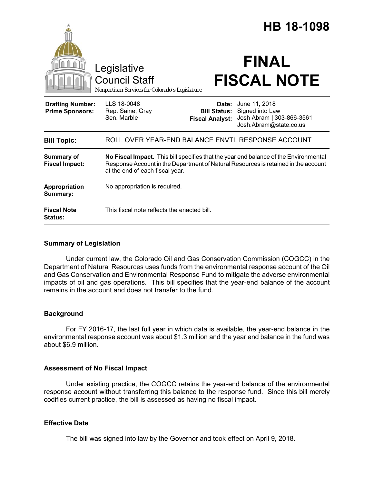|                                                   | Legislative<br><b>Council Staff</b><br>Nonpartisan Services for Colorado's Legislature                                                                                                                        |                                                        | HB 18-1098<br><b>FINAL</b><br><b>FISCAL NOTE</b>                                        |
|---------------------------------------------------|---------------------------------------------------------------------------------------------------------------------------------------------------------------------------------------------------------------|--------------------------------------------------------|-----------------------------------------------------------------------------------------|
| <b>Drafting Number:</b><br><b>Prime Sponsors:</b> | LLS 18-0048<br>Rep. Saine; Gray<br>Sen. Marble                                                                                                                                                                | Date:<br><b>Bill Status:</b><br><b>Fiscal Analyst:</b> | June 11, 2018<br>Signed into Law<br>Josh Abram   303-866-3561<br>Josh.Abram@state.co.us |
| <b>Bill Topic:</b>                                | ROLL OVER YEAR-END BALANCE ENVTL RESPONSE ACCOUNT                                                                                                                                                             |                                                        |                                                                                         |
| <b>Summary of</b><br><b>Fiscal Impact:</b>        | No Fiscal Impact. This bill specifies that the year end balance of the Environmental<br>Response Account in the Department of Natural Resources is retained in the account<br>at the end of each fiscal year. |                                                        |                                                                                         |
| Appropriation<br>Summary:                         | No appropriation is required.                                                                                                                                                                                 |                                                        |                                                                                         |
| <b>Fiscal Note</b><br><b>Status:</b>              | This fiscal note reflects the enacted bill.                                                                                                                                                                   |                                                        |                                                                                         |

## **Summary of Legislation**

Under current law, the Colorado Oil and Gas Conservation Commission (COGCC) in the Department of Natural Resources uses funds from the environmental response account of the Oil and Gas Conservation and Environmental Response Fund to mitigate the adverse environmental impacts of oil and gas operations. This bill specifies that the year-end balance of the account remains in the account and does not transfer to the fund.

#### **Background**

For FY 2016-17, the last full year in which data is available, the year-end balance in the environmental response account was about \$1.3 million and the year end balance in the fund was about \$6.9 million.

#### **Assessment of No Fiscal Impact**

Under existing practice, the COGCC retains the year-end balance of the environmental response account without transferring this balance to the response fund. Since this bill merely codifies current practice, the bill is assessed as having no fiscal impact.

## **Effective Date**

The bill was signed into law by the Governor and took effect on April 9, 2018.